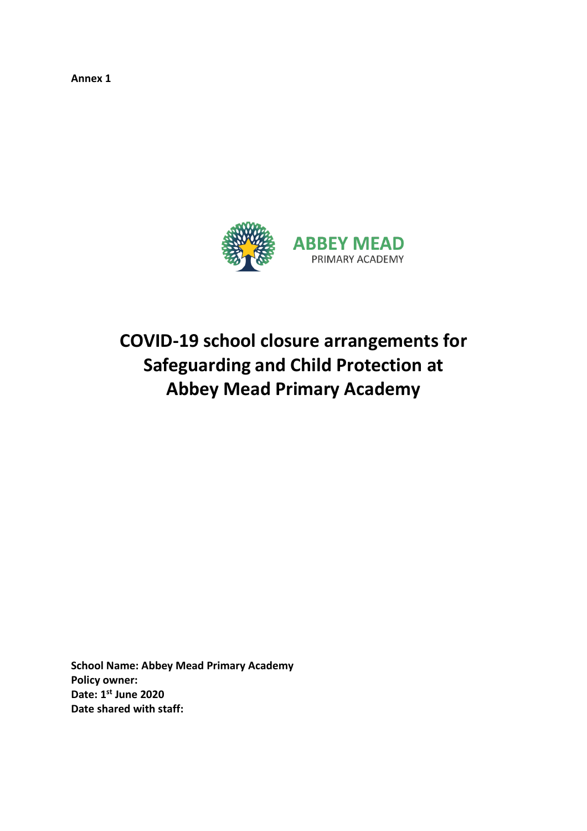**Annex 1**



# **COVID-19 school closure arrangements for Safeguarding and Child Protection at Abbey Mead Primary Academy**

**School Name: Abbey Mead Primary Academy Policy owner: Date: 1 st June 2020 Date shared with staff:**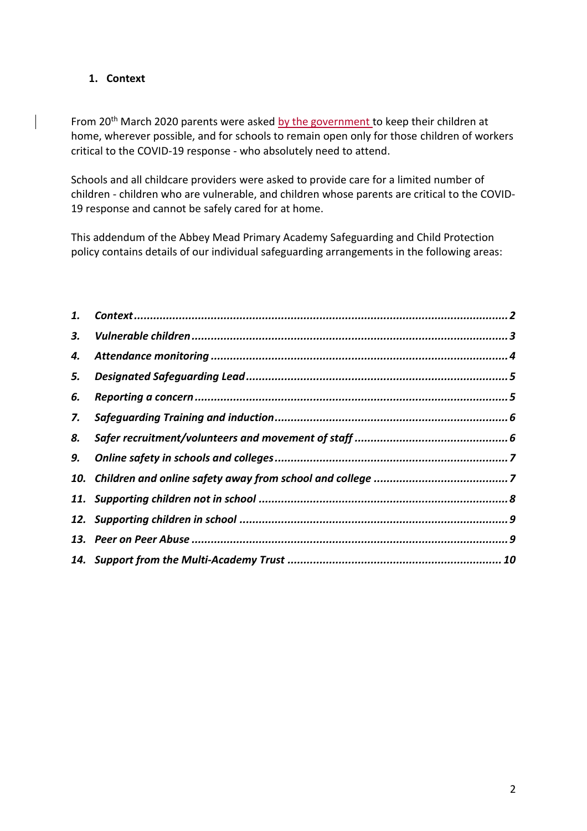# <span id="page-1-0"></span>**1. Context**

From 20<sup>th</sup> March 2020 parents were asked by the government to keep their children at home, wherever possible, and for schools to remain open only for those children of workers critical to the COVID-19 response - who absolutely need to attend.

Schools and all childcare providers were asked to provide care for a limited number of children - children who are vulnerable, and children whose parents are critical to the COVID-19 response and cannot be safely cared for at home.

This addendum of the Abbey Mead Primary Academy Safeguarding and Child Protection policy contains details of our individual safeguarding arrangements in the following areas:

| 4. |  |
|----|--|
| 5. |  |
| 6. |  |
| 7. |  |
| 8. |  |
|    |  |
|    |  |
|    |  |
|    |  |
|    |  |
|    |  |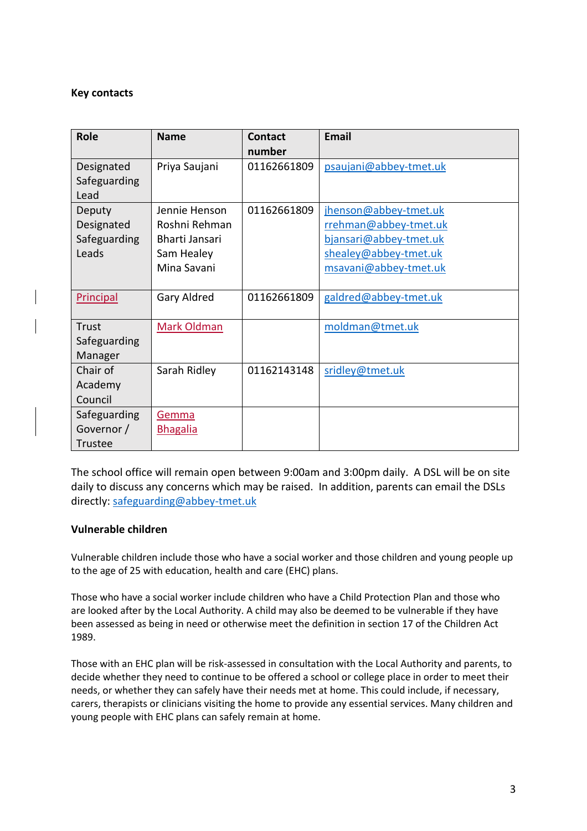#### **Key contacts**

| <b>Role</b>                                   | <b>Name</b>                                                                   | <b>Contact</b><br>number | <b>Email</b>                                                                                                               |
|-----------------------------------------------|-------------------------------------------------------------------------------|--------------------------|----------------------------------------------------------------------------------------------------------------------------|
| Designated<br>Safeguarding<br>Lead            | Priya Saujani                                                                 | 01162661809              | psaujani@abbey-tmet.uk                                                                                                     |
| Deputy<br>Designated<br>Safeguarding<br>Leads | Jennie Henson<br>Roshni Rehman<br>Bharti Jansari<br>Sam Healey<br>Mina Savani | 01162661809              | jhenson@abbey-tmet.uk<br>rrehman@abbey-tmet.uk<br>bjansari@abbey-tmet.uk<br>shealey@abbey-tmet.uk<br>msavani@abbey-tmet.uk |
| <b>Principal</b>                              | Gary Aldred                                                                   | 01162661809              | galdred@abbey-tmet.uk                                                                                                      |
| Trust<br>Safeguarding<br>Manager              | Mark Oldman                                                                   |                          | moldman@tmet.uk                                                                                                            |
| Chair of<br>Academy<br>Council                | Sarah Ridley                                                                  | 01162143148              | sridley@tmet.uk                                                                                                            |
| Safeguarding<br>Governor /<br><b>Trustee</b>  | Gemma<br><b>Bhagalia</b>                                                      |                          |                                                                                                                            |

The school office will remain open between 9:00am and 3:00pm daily. A DSL will be on site daily to discuss any concerns which may be raised. In addition, parents can email the DSLs directly: [safeguarding@abbey-tmet.uk](mailto:safeguarding@abbey-tmet.uk)

#### <span id="page-2-0"></span>**Vulnerable children**

Vulnerable children include those who have a social worker and those children and young people up to the age of 25 with education, health and care (EHC) plans.

Those who have a social worker include children who have a Child Protection Plan and those who are looked after by the Local Authority. A child may also be deemed to be vulnerable if they have been assessed as being in need or otherwise meet the definition in section 17 of the Children Act 1989.

Those with an EHC plan will be risk-assessed in consultation with the Local Authority and parents, to decide whether they need to continue to be offered a school or college place in order to meet their needs, or whether they can safely have their needs met at home. This could include, if necessary, carers, therapists or clinicians visiting the home to provide any essential services. Many children and young people with EHC plans can safely remain at home.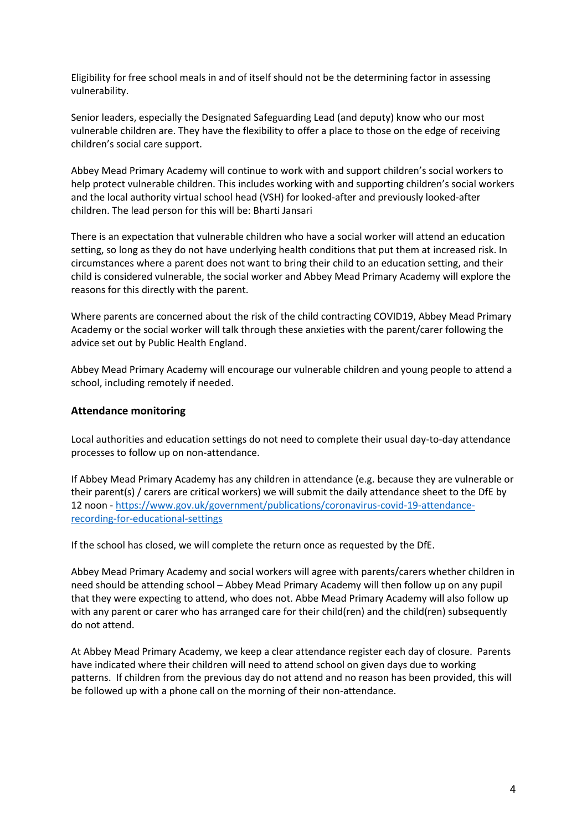Eligibility for free school meals in and of itself should not be the determining factor in assessing vulnerability.

Senior leaders, especially the Designated Safeguarding Lead (and deputy) know who our most vulnerable children are. They have the flexibility to offer a place to those on the edge of receiving children's social care support.

Abbey Mead Primary Academy will continue to work with and support children's social workers to help protect vulnerable children. This includes working with and supporting children's social workers and the local authority virtual school head (VSH) for looked-after and previously looked-after children. The lead person for this will be: Bharti Jansari

There is an expectation that vulnerable children who have a social worker will attend an education setting, so long as they do not have underlying health conditions that put them at increased risk. In circumstances where a parent does not want to bring their child to an education setting, and their child is considered vulnerable, the social worker and Abbey Mead Primary Academy will explore the reasons for this directly with the parent.

Where parents are concerned about the risk of the child contracting COVID19, Abbey Mead Primary Academy or the social worker will talk through these anxieties with the parent/carer following the advice set out by Public Health England.

Abbey Mead Primary Academy will encourage our vulnerable children and young people to attend a school, including remotely if needed.

#### <span id="page-3-0"></span>**Attendance monitoring**

Local authorities and education settings do not need to complete their usual day-to-day attendance processes to follow up on non-attendance.

If Abbey Mead Primary Academy has any children in attendance (e.g. because they are vulnerable or their parent(s) / carers are critical workers) we will submit the daily attendance sheet to the DfE by 12 noon - [https://www.gov.uk/government/publications/coronavirus-covid-19-attendance](https://www.gov.uk/government/publications/coronavirus-covid-19-attendance-recording-for-educational-settings)[recording-for-educational-settings](https://www.gov.uk/government/publications/coronavirus-covid-19-attendance-recording-for-educational-settings)

If the school has closed, we will complete the return once as requested by the DfE.

Abbey Mead Primary Academy and social workers will agree with parents/carers whether children in need should be attending school – Abbey Mead Primary Academy will then follow up on any pupil that they were expecting to attend, who does not. Abbe Mead Primary Academy will also follow up with any parent or carer who has arranged care for their child(ren) and the child(ren) subsequently do not attend.

At Abbey Mead Primary Academy, we keep a clear attendance register each day of closure. Parents have indicated where their children will need to attend school on given days due to working patterns. If children from the previous day do not attend and no reason has been provided, this will be followed up with a phone call on the morning of their non-attendance.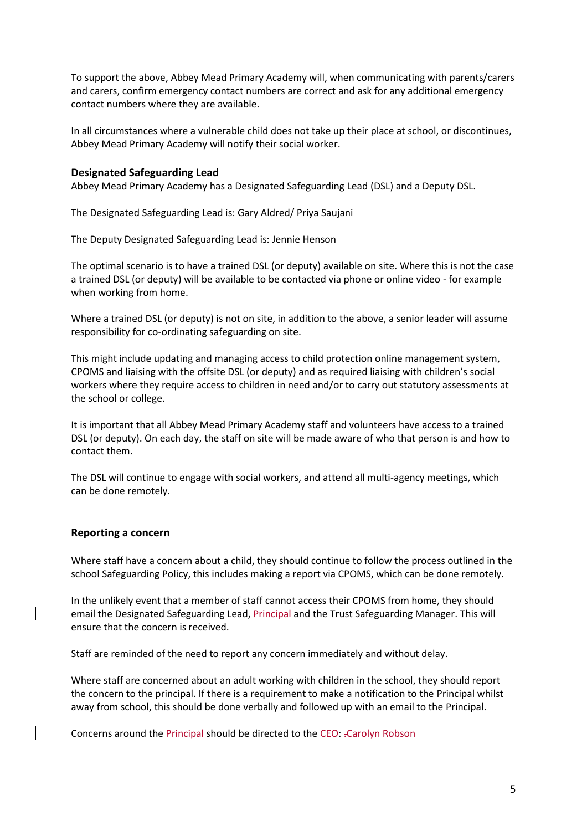To support the above, Abbey Mead Primary Academy will, when communicating with parents/carers and carers, confirm emergency contact numbers are correct and ask for any additional emergency contact numbers where they are available.

In all circumstances where a vulnerable child does not take up their place at school, or discontinues, Abbey Mead Primary Academy will notify their social worker.

#### <span id="page-4-0"></span>**Designated Safeguarding Lead**

Abbey Mead Primary Academy has a Designated Safeguarding Lead (DSL) and a Deputy DSL.

The Designated Safeguarding Lead is: Gary Aldred/ Priya Saujani

The Deputy Designated Safeguarding Lead is: Jennie Henson

The optimal scenario is to have a trained DSL (or deputy) available on site. Where this is not the case a trained DSL (or deputy) will be available to be contacted via phone or online video - for example when working from home.

Where a trained DSL (or deputy) is not on site, in addition to the above, a senior leader will assume responsibility for co-ordinating safeguarding on site.

This might include updating and managing access to child protection online management system, CPOMS and liaising with the offsite DSL (or deputy) and as required liaising with children's social workers where they require access to children in need and/or to carry out statutory assessments at the school or college.

It is important that all Abbey Mead Primary Academy staff and volunteers have access to a trained DSL (or deputy). On each day, the staff on site will be made aware of who that person is and how to contact them.

The DSL will continue to engage with social workers, and attend all multi-agency meetings, which can be done remotely.

#### <span id="page-4-1"></span>**Reporting a concern**

Where staff have a concern about a child, they should continue to follow the process outlined in the school Safeguarding Policy, this includes making a report via CPOMS, which can be done remotely.

In the unlikely event that a member of staff cannot access their CPOMS from home, they should email the Designated Safeguarding Lead, **Principal** and the Trust Safeguarding Manager. This will ensure that the concern is received.

Staff are reminded of the need to report any concern immediately and without delay.

Where staff are concerned about an adult working with children in the school, they should report the concern to the principal. If there is a requirement to make a notification to the Principal whilst away from school, this should be done verbally and followed up with an email to the Principal.

Concerns around the Principal should be directed to the CEO: .Carolyn Robson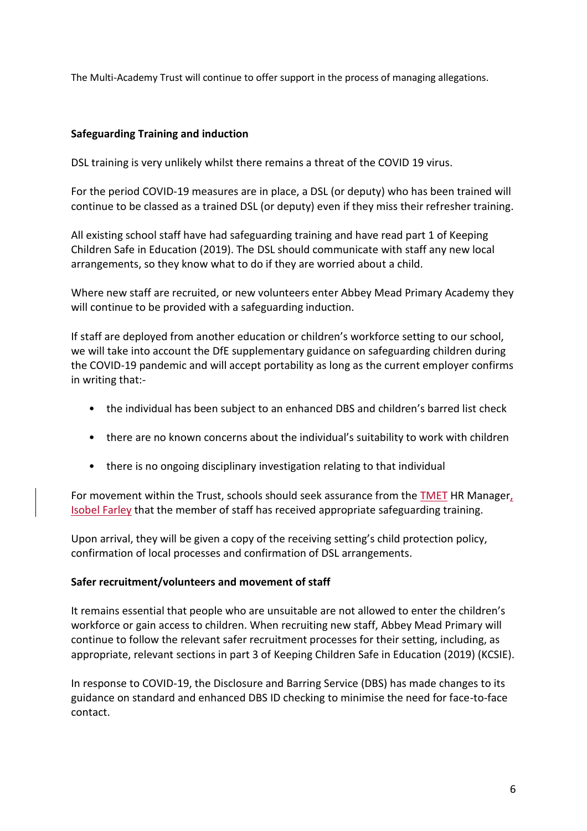<span id="page-5-0"></span>The Multi-Academy Trust will continue to offer support in the process of managing allegations.

# **Safeguarding Training and induction**

DSL training is very unlikely whilst there remains a threat of the COVID 19 virus.

For the period COVID-19 measures are in place, a DSL (or deputy) who has been trained will continue to be classed as a trained DSL (or deputy) even if they miss their refresher training.

All existing school staff have had safeguarding training and have read part 1 of Keeping Children Safe in Education (2019). The DSL should communicate with staff any new local arrangements, so they know what to do if they are worried about a child.

Where new staff are recruited, or new volunteers enter Abbey Mead Primary Academy they will continue to be provided with a safeguarding induction.

If staff are deployed from another education or children's workforce setting to our school, we will take into account the DfE supplementary guidance on safeguarding children during the COVID-19 pandemic and will accept portability as long as the current employer confirms in writing that:-

- the individual has been subject to an enhanced DBS and children's barred list check
- there are no known concerns about the individual's suitability to work with children
- there is no ongoing disciplinary investigation relating to that individual

For movement within the Trust, schools should seek assurance from the TMET HR Manager, Isobel Farley that the member of staff has received appropriate safeguarding training.

Upon arrival, they will be given a copy of the receiving setting's child protection policy, confirmation of local processes and confirmation of DSL arrangements.

# <span id="page-5-1"></span>**Safer recruitment/volunteers and movement of staff**

It remains essential that people who are unsuitable are not allowed to enter the children's workforce or gain access to children. When recruiting new staff, Abbey Mead Primary will continue to follow the relevant safer recruitment processes for their setting, including, as appropriate, relevant sections in part 3 of Keeping Children Safe in Education (2019) (KCSIE).

In response to COVID-19, the Disclosure and Barring Service (DBS) has made changes to its guidance on standard and enhanced DBS ID checking to minimise the need for face-to-face contact.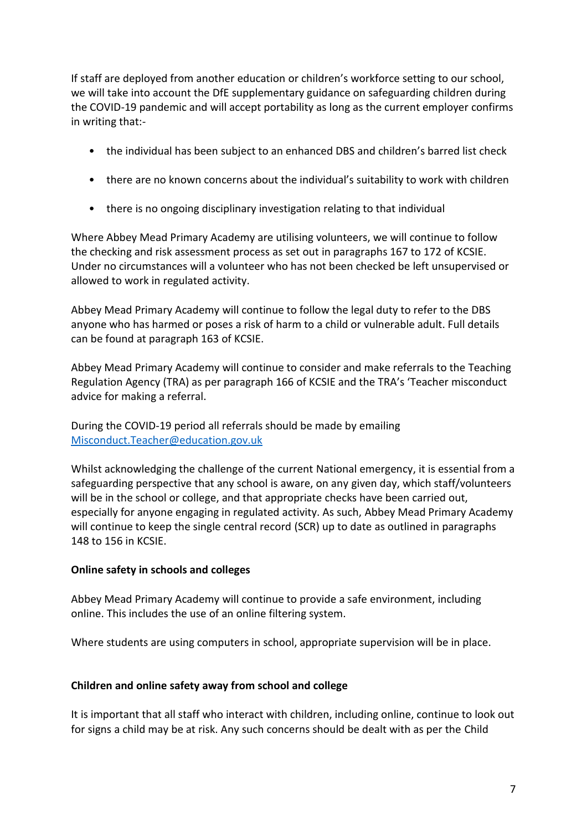If staff are deployed from another education or children's workforce setting to our school, we will take into account the DfE supplementary guidance on safeguarding children during the COVID-19 pandemic and will accept portability as long as the current employer confirms in writing that:-

- the individual has been subject to an enhanced DBS and children's barred list check
- there are no known concerns about the individual's suitability to work with children
- there is no ongoing disciplinary investigation relating to that individual

Where Abbey Mead Primary Academy are utilising volunteers, we will continue to follow the checking and risk assessment process as set out in paragraphs 167 to 172 of KCSIE. Under no circumstances will a volunteer who has not been checked be left unsupervised or allowed to work in regulated activity.

Abbey Mead Primary Academy will continue to follow the legal duty to refer to the DBS anyone who has harmed or poses a risk of harm to a child or vulnerable adult. Full details can be found at paragraph 163 of KCSIE.

Abbey Mead Primary Academy will continue to consider and make referrals to the Teaching Regulation Agency (TRA) as per paragraph 166 of KCSIE and the TRA's 'Teacher misconduct advice for making a referral.

During the COVID-19 period all referrals should be made by emailing [Misconduct.Teacher@education.gov.uk](mailto:Misconduct.Teacher@education.gov.uk)

Whilst acknowledging the challenge of the current National emergency, it is essential from a safeguarding perspective that any school is aware, on any given day, which staff/volunteers will be in the school or college, and that appropriate checks have been carried out, especially for anyone engaging in regulated activity. As such, Abbey Mead Primary Academy will continue to keep the single central record (SCR) up to date as outlined in paragraphs 148 to 156 in KCSIE.

# <span id="page-6-0"></span>**Online safety in schools and colleges**

Abbey Mead Primary Academy will continue to provide a safe environment, including online. This includes the use of an online filtering system.

Where students are using computers in school, appropriate supervision will be in place.

# <span id="page-6-1"></span>**Children and online safety away from school and college**

It is important that all staff who interact with children, including online, continue to look out for signs a child may be at risk. Any such concerns should be dealt with as per the Child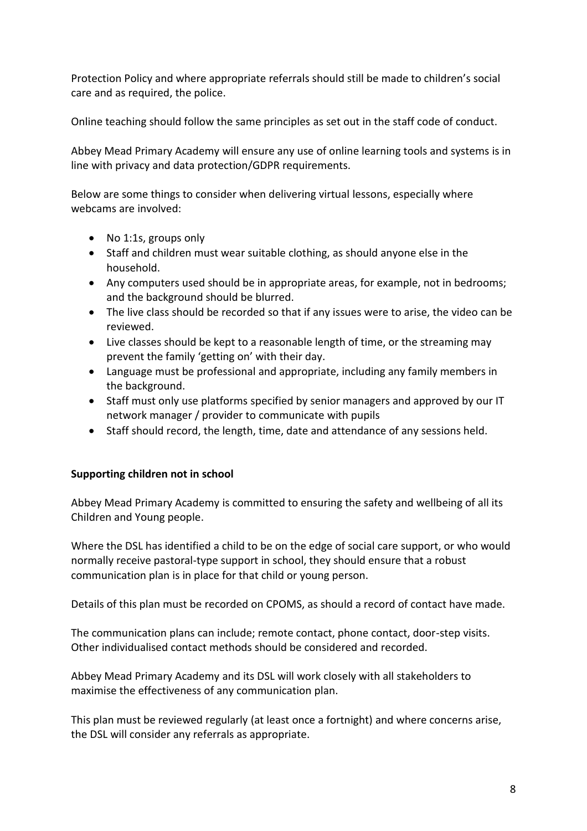Protection Policy and where appropriate referrals should still be made to children's social care and as required, the police.

Online teaching should follow the same principles as set out in the staff code of conduct.

Abbey Mead Primary Academy will ensure any use of online learning tools and systems is in line with privacy and data protection/GDPR requirements.

Below are some things to consider when delivering virtual lessons, especially where webcams are involved:

- No 1:1s, groups only
- Staff and children must wear suitable clothing, as should anyone else in the household.
- Any computers used should be in appropriate areas, for example, not in bedrooms; and the background should be blurred.
- The live class should be recorded so that if any issues were to arise, the video can be reviewed.
- Live classes should be kept to a reasonable length of time, or the streaming may prevent the family 'getting on' with their day.
- Language must be professional and appropriate, including any family members in the background.
- Staff must only use platforms specified by senior managers and approved by our IT network manager / provider to communicate with pupils
- Staff should record, the length, time, date and attendance of any sessions held.

# <span id="page-7-0"></span>**Supporting children not in school**

Abbey Mead Primary Academy is committed to ensuring the safety and wellbeing of all its Children and Young people.

Where the DSL has identified a child to be on the edge of social care support, or who would normally receive pastoral-type support in school, they should ensure that a robust communication plan is in place for that child or young person.

Details of this plan must be recorded on CPOMS, as should a record of contact have made.

The communication plans can include; remote contact, phone contact, door-step visits. Other individualised contact methods should be considered and recorded.

Abbey Mead Primary Academy and its DSL will work closely with all stakeholders to maximise the effectiveness of any communication plan.

This plan must be reviewed regularly (at least once a fortnight) and where concerns arise, the DSL will consider any referrals as appropriate.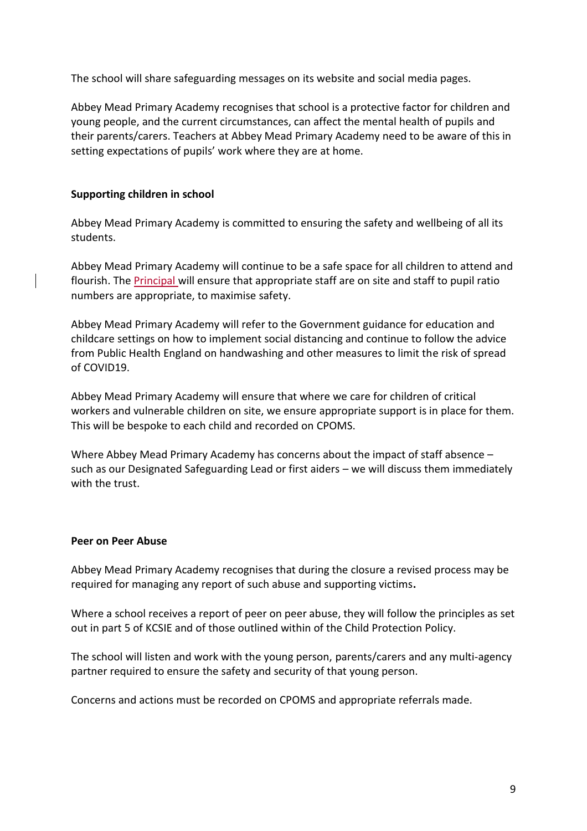The school will share safeguarding messages on its website and social media pages.

Abbey Mead Primary Academy recognises that school is a protective factor for children and young people, and the current circumstances, can affect the mental health of pupils and their parents/carers. Teachers at Abbey Mead Primary Academy need to be aware of this in setting expectations of pupils' work where they are at home.

### <span id="page-8-0"></span>**Supporting children in school**

Abbey Mead Primary Academy is committed to ensuring the safety and wellbeing of all its students.

Abbey Mead Primary Academy will continue to be a safe space for all children to attend and flourish. The **Principal** will ensure that appropriate staff are on site and staff to pupil ratio numbers are appropriate, to maximise safety.

Abbey Mead Primary Academy will refer to the Government guidance for education and childcare settings on how to implement social distancing and continue to follow the advice from Public Health England on handwashing and other measures to limit the risk of spread of COVID19.

Abbey Mead Primary Academy will ensure that where we care for children of critical workers and vulnerable children on site, we ensure appropriate support is in place for them. This will be bespoke to each child and recorded on CPOMS.

Where Abbey Mead Primary Academy has concerns about the impact of staff absence – such as our Designated Safeguarding Lead or first aiders – we will discuss them immediately with the trust.

#### <span id="page-8-1"></span>**Peer on Peer Abuse**

Abbey Mead Primary Academy recognises that during the closure a revised process may be required for managing any report of such abuse and supporting victims**.** 

Where a school receives a report of peer on peer abuse, they will follow the principles as set out in part 5 of KCSIE and of those outlined within of the Child Protection Policy.

The school will listen and work with the young person, parents/carers and any multi-agency partner required to ensure the safety and security of that young person.

Concerns and actions must be recorded on CPOMS and appropriate referrals made.